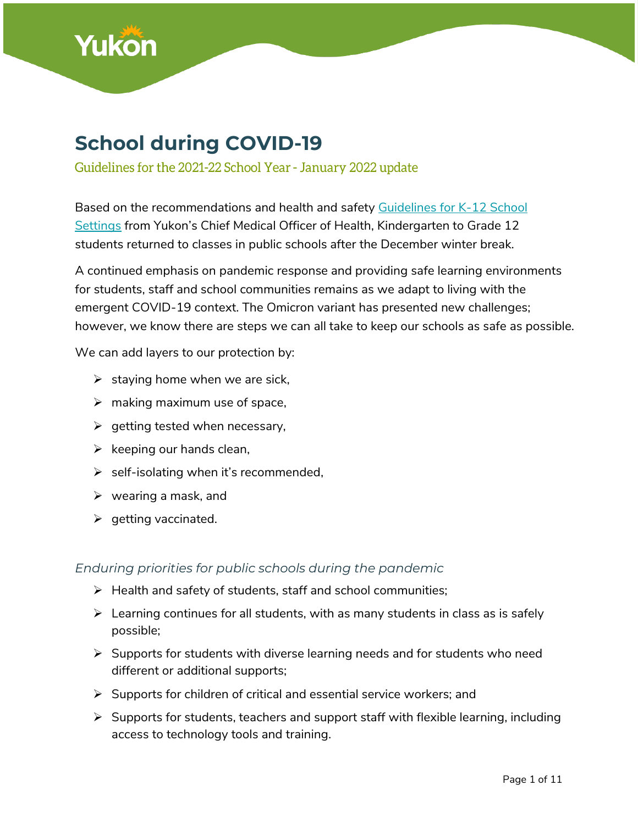

# **School during COVID-19**

Guidelines for the 2021-22 School Year - January 2022 update

Based on the recommendations and health and safety [Guidelines for K-12 School](https://yukon.ca/en/health-and-wellness/covid-19-information/education-and-school-supports-covid-19/k-12-school)  [Settings](https://yukon.ca/en/health-and-wellness/covid-19-information/education-and-school-supports-covid-19/k-12-school) from Yukon's Chief Medical Officer of Health, Kindergarten to Grade 12 students returned to classes in public schools after the December winter break.

A continued emphasis on pandemic response and providing safe learning environments for students, staff and school communities remains as we adapt to living with the emergent COVID-19 context. The Omicron variant has presented new challenges; however, we know there are steps we can all take to keep our schools as safe as possible.

We can add layers to our protection by:

- $\triangleright$  staying home when we are sick,
- $\triangleright$  making maximum use of space,
- $\triangleright$  getting tested when necessary,
- $\triangleright$  keeping our hands clean,
- $\triangleright$  self-isolating when it's recommended,
- $\triangleright$  wearing a mask, and
- $\triangleright$  getting vaccinated.

#### *Enduring priorities for public schools during the pandemic*

- $\triangleright$  Health and safety of students, staff and school communities;
- $\triangleright$  Learning continues for all students, with as many students in class as is safely possible;
- $\triangleright$  Supports for students with diverse learning needs and for students who need different or additional supports;
- $\triangleright$  Supports for children of critical and essential service workers; and
- $\triangleright$  Supports for students, teachers and support staff with flexible learning, including access to technology tools and training.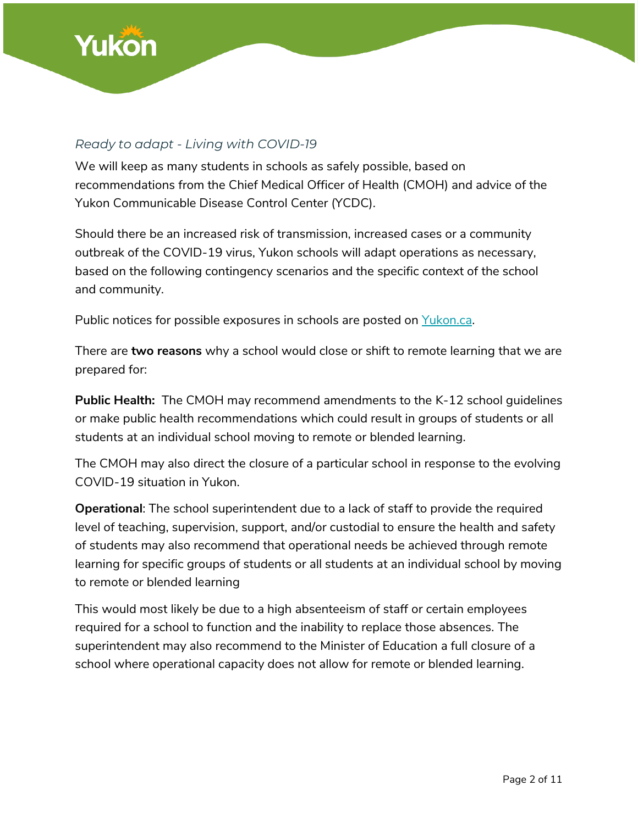

### *Ready to adapt - Living with COVID-19*

We will keep as many students in schools as safely possible, based on recommendations from the Chief Medical Officer of Health (CMOH) and advice of the Yukon Communicable Disease Control Center (YCDC).

Should there be an increased risk of transmission, increased cases or a community outbreak of the COVID-19 virus, Yukon schools will adapt operations as necessary, based on the following contingency scenarios and the specific context of the school and community.

Public notices for possible exposures in schools are posted on [Yukon.ca.](https://yukon.ca/en/health-and-wellness/covid-19-information/your-health-covid-19/potential-public-exposure-notices)

There are **two reasons** why a school would close or shift to remote learning that we are prepared for:

**Public Health:** The CMOH may recommend amendments to the [K-12 school guidelines](https://yukon.ca/en/health-and-wellness/covid-19-information/k-12-school-guidelines-2021-22-covid-19) or make public health recommendations which could result in groups of students or all students at an individual school moving to remote or blended learning.

The CMOH may also direct the closure of a particular school in response to the evolving COVID-19 situation in Yukon.

**Operational**: The school superintendent due to a lack of staff to provide the required level of teaching, supervision, support, and/or custodial to ensure the health and safety of students may also recommend that operational needs be achieved through remote learning for specific groups of students or all students at an individual school by moving to remote or blended learning

This would most likely be due to a high absenteeism of staff or certain employees required for a school to function and the inability to replace those absences. The superintendent may also recommend to the Minister of Education a full closure of a school where operational capacity does not allow for remote or blended learning.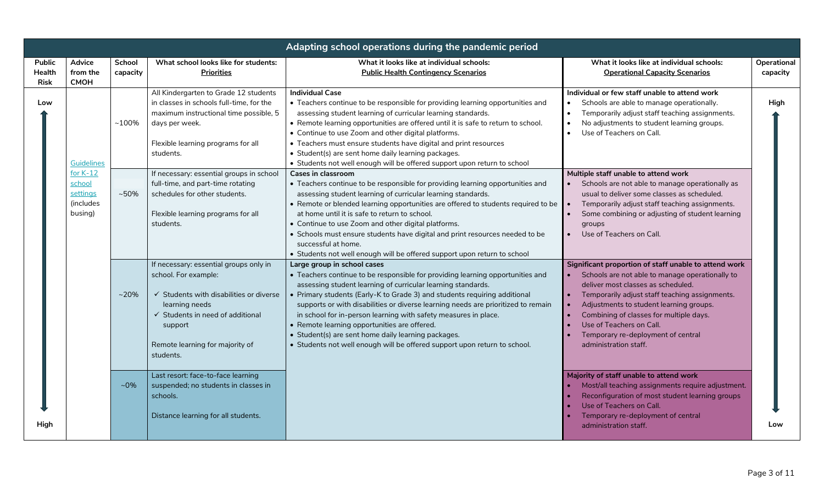| Adapting school operations during the pandemic period |                                                          |                    |                                                                                                                                                                                                                                       |                                                                                                                                                                                                                                                                                                                                                                                                                                                                                                                                                                                                        |                                                                                                                                                                                                                                                                                                                                                                                   |                         |
|-------------------------------------------------------|----------------------------------------------------------|--------------------|---------------------------------------------------------------------------------------------------------------------------------------------------------------------------------------------------------------------------------------|--------------------------------------------------------------------------------------------------------------------------------------------------------------------------------------------------------------------------------------------------------------------------------------------------------------------------------------------------------------------------------------------------------------------------------------------------------------------------------------------------------------------------------------------------------------------------------------------------------|-----------------------------------------------------------------------------------------------------------------------------------------------------------------------------------------------------------------------------------------------------------------------------------------------------------------------------------------------------------------------------------|-------------------------|
| <b>Public</b><br>Health<br><b>Risk</b>                | Advice<br>from the<br><b>CMOH</b>                        | School<br>capacity | What school looks like for students:<br><b>Priorities</b>                                                                                                                                                                             | What it looks like at individual schools:<br><b>Public Health Contingency Scenarios</b>                                                                                                                                                                                                                                                                                                                                                                                                                                                                                                                | What it looks like at individual schools:<br><b>Operational Capacity Scenarios</b>                                                                                                                                                                                                                                                                                                | Operational<br>capacity |
| Low<br>Hiah                                           | Guidelines                                               | $~100\%$           | All Kindergarten to Grade 12 students<br>in classes in schools full-time, for the<br>maximum instructional time possible, 5<br>days per week.<br>Flexible learning programs for all<br>students.                                      | <b>Individual Case</b><br>• Teachers continue to be responsible for providing learning opportunities and<br>assessing student learning of curricular learning standards.<br>• Remote learning opportunities are offered until it is safe to return to school.<br>• Continue to use Zoom and other digital platforms.<br>• Teachers must ensure students have digital and print resources<br>• Student(s) are sent home daily learning packages.<br>• Students not well enough will be offered support upon return to school                                                                            | Individual or few staff unable to attend work<br>Schools are able to manage operationally.<br>$\bullet$<br>Temporarily adjust staff teaching assignments.<br>No adjustments to student learning groups.<br>Use of Teachers on Call.<br>$\bullet$                                                                                                                                  | High                    |
|                                                       | for $K-12$<br>school<br>settings<br>(includes<br>busing) | $~10\%$            | If necessary: essential groups in school<br>full-time, and part-time rotating<br>schedules for other students.<br>Flexible learning programs for all<br>students.                                                                     | Cases in classroom<br>• Teachers continue to be responsible for providing learning opportunities and<br>assessing student learning of curricular learning standards.<br>• Remote or blended learning opportunities are offered to students required to be<br>at home until it is safe to return to school.<br>• Continue to use Zoom and other digital platforms.<br>• Schools must ensure students have digital and print resources needed to be<br>successful at home.<br>• Students not well enough will be offered support upon return to school                                                   | Multiple staff unable to attend work<br>• Schools are not able to manage operationally as<br>usual to deliver some classes as scheduled.<br>Temporarily adjust staff teaching assignments.<br>$\bullet$<br>Some combining or adjusting of student learning<br>groups<br>Use of Teachers on Call.                                                                                  |                         |
|                                                       |                                                          | $~20\%$            | If necessary: essential groups only in<br>school. For example:<br>$\checkmark$ Students with disabilities or diverse<br>learning needs<br>✓ Students in need of additional<br>support<br>Remote learning for majority of<br>students. | Large group in school cases<br>• Teachers continue to be responsible for providing learning opportunities and<br>assessing student learning of curricular learning standards.<br>• Primary students (Early-K to Grade 3) and students requiring additional<br>supports or with disabilities or diverse learning needs are prioritized to remain<br>in school for in-person learning with safety measures in place.<br>• Remote learning opportunities are offered.<br>• Student(s) are sent home daily learning packages.<br>• Students not well enough will be offered support upon return to school. | Significant proportion of staff unable to attend work<br>Schools are not able to manage operationally to<br>deliver most classes as scheduled.<br>Temporarily adjust staff teaching assignments.<br>Adjustments to student learning groups.<br>Combining of classes for multiple days.<br>Use of Teachers on Call.<br>Temporary re-deployment of central<br>administration staff. |                         |
|                                                       |                                                          | $~10\%$            | Last resort: face-to-face learning<br>suspended; no students in classes in<br>schools.<br>Distance learning for all students.                                                                                                         |                                                                                                                                                                                                                                                                                                                                                                                                                                                                                                                                                                                                        | Majority of staff unable to attend work<br>Most/all teaching assignments require adjustment.<br>Reconfiguration of most student learning groups<br>Use of Teachers on Call.<br>Temporary re-deployment of central<br>administration staff.                                                                                                                                        | Low                     |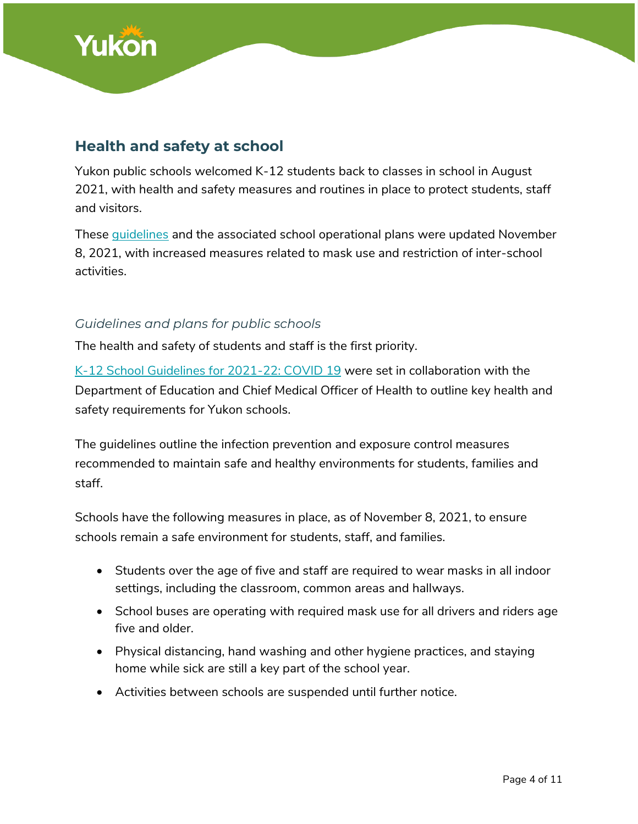

### **Health and safety at school**

Yukon public schools welcomed K-12 students back to classes in school in August 2021, with health and safety measures and routines in place to protect students, staff and visitors.

These [guidelines](https://yukon.ca/en/health-and-wellness/covid-19-information/education-and-school-supports-covid-19/k-12-school) and the associated school operational plans were updated November 8, 2021, with increased measures related to mask use and restriction of inter-school activities.

### *Guidelines and plans for public schools*

The health and safety of students and staff is the first priority.

[K-12 School Guidelines for 2021-22: COVID 19](https://yukon.ca/en/health-and-wellness/covid-19-information/school-covid-19-guidelines-2021-22) were set in collaboration with the Department of Education and Chief Medical Officer of Health to outline key health and safety requirements for Yukon schools.

The guidelines outline the infection prevention and exposure control measures recommended to maintain safe and healthy environments for students, families and staff.

Schools have the following measures in place, as of November 8, 2021, to ensure schools remain a safe environment for students, staff, and families.

- Students over the age of five and staff are required to wear masks in all indoor settings, including the classroom, common areas and hallways.
- School buses are operating with required mask use for all drivers and riders age five and older.
- Physical distancing, hand washing and other hygiene practices, and staying home while sick are still a key part of the school year.
- Activities between schools are suspended until further notice.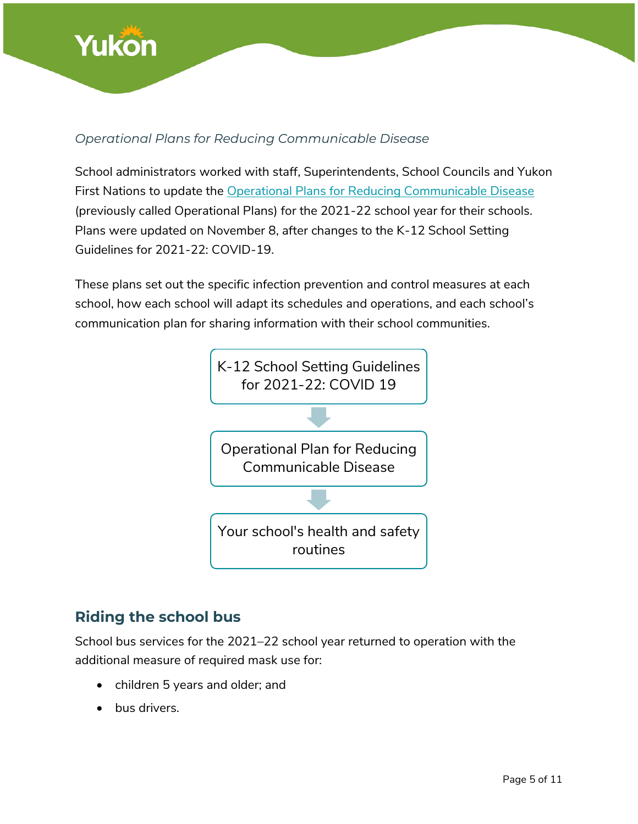

### *Operational Plans for Reducing Communicable Disease*

School administrators worked with staff, Superintendents, School Councils and Yukon First Nations to update the Operational Plans [for Reducing Communicable Disease](https://yukon.ca/en/health-and-wellness/covid-19-information/education-and-school-supports-covid-19/school-operations) (previously called Operational Plans) for the 2021-22 school year for their schools. Plans were updated on November 8, after changes to the K-12 School Setting Guidelines for 2021-22: COVID-19.

These plans set out the specific infection prevention and control measures at each school, how each school will adapt its schedules and operations, and each school's communication plan for sharing information with their school communities.



### **Riding the school bus**

School bus services for the 2021–22 school year returned to operation with the additional measure of required mask use for:

- children 5 years and older; and
- bus drivers.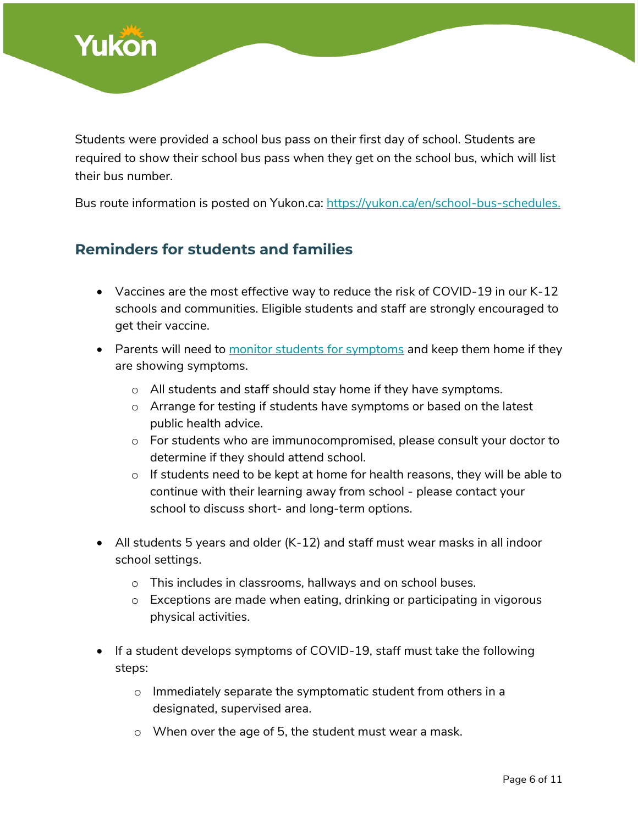

Students were provided a school bus pass on their first day of school. Students are required to show their school bus pass when they get on the school bus, which will list their bus number.

Bus route information is posted on Yukon.ca: [https://yukon.ca/en/school-bus-schedules.](https://yukon.ca/en/school-bus-schedules)

### **Reminders for students and families**

- Vaccines are the most effective way to reduce the risk of COVID-19 in our K-12 schools and communities. Eligible students and staff are strongly encouraged to get their vaccine.
- Parents will need to [monitor students for symptoms](https://service.yukon.ca/en/covid-19-self-assessment/) and keep them home if they are showing symptoms.
	- o All students and staff should stay home if they have symptoms.
	- $\circ$  Arrange for testing if students have symptoms or based on the latest public health advice.
	- o For students who are immunocompromised, please consult your doctor to determine if they should attend school.
	- o If students need to be kept at home for health reasons, they will be able to continue with their learning away from school - please contact your school to discuss short- and long-term options.
- All students 5 years and older (K-12) and staff must wear masks in all indoor school settings.
	- o This includes in classrooms, hallways and on school buses.
	- o Exceptions are made when eating, drinking or participating in vigorous physical activities.
- If a student develops symptoms of COVID-19, staff must take the following steps:
	- o Immediately separate the symptomatic student from others in a designated, supervised area.
	- o When over the age of 5, the student must wear a mask.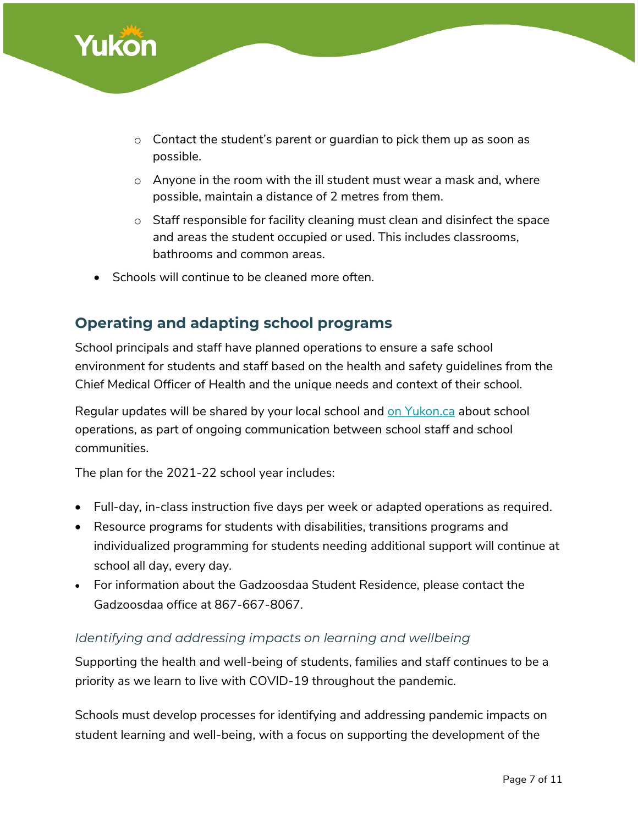

- $\circ$  Contact the student's parent or quardian to pick them up as soon as possible.
- o Anyone in the room with the ill student must wear a mask and, where possible, maintain a distance of 2 metres from them.
- $\circ$  Staff responsible for facility cleaning must clean and disinfect the space and areas the student occupied or used. This includes classrooms, bathrooms and common areas.
- Schools will continue to be cleaned more often.

### **Operating and adapting school programs**

School principals and staff have planned operations to ensure a safe school environment for students and staff based on the health and safety guidelines from the Chief Medical Officer of Health and the unique needs and context of their school.

Regular updates will be shared by your local school and [on Yukon.ca](https://yukon.ca/en/health-and-wellness/covid-19-information/education-and-school-supports-covid-19/planning-2020-21) about school operations, as part of ongoing communication between school staff and school communities.

The plan for the 2021-22 school year includes:

- Full-day, in-class instruction five days per week or adapted operations as required.
- Resource programs for students with disabilities, transitions programs and individualized programming for students needing additional support will continue at school all day, every day.
- For information about the Gadzoosdaa Student Residence, [please contact the](http://gsr.yukonschools.ca/contact.html)  [Gadzoosdaa](http://gsr.yukonschools.ca/contact.html) office at 867-667-8067.

### *Identifying and addressing impacts on learning and wellbeing*

Supporting the health and well-being of students, families and staff continues to be a priority as we learn to live with COVID-19 throughout the pandemic.

Schools must develop processes for identifying and addressing pandemic impacts on student learning and well-being, with a focus on supporting the development of the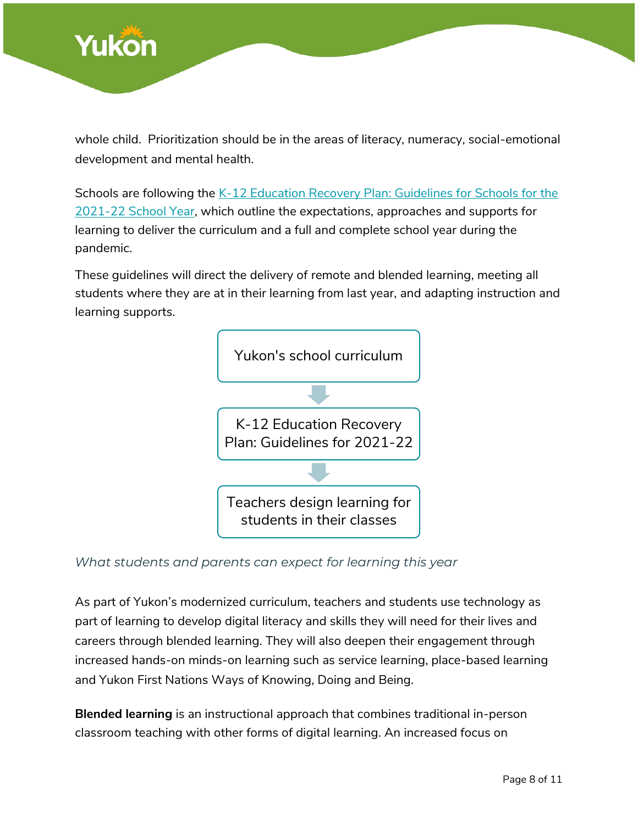

whole child. Prioritization should be in the areas of literacy, numeracy, social-emotional development and mental health.

Schools are following the K-12 Education Recovery Plan: Guidelines for Schools for the [2021-22 School Year,](https://yukon.ca/en/yukon-kindergarten-grade-12-education-recovery-plan) which outline the expectations, approaches and supports for learning to deliver the curriculum and a full and complete school year during the pandemic.

These guidelines will direct the delivery of remote and blended learning, meeting all students where they are at in their learning from last year, and adapting instruction and learning supports.



### *What students and parents can expect for learning this year*

As part of Yukon's modernized curriculum, teachers and students use technology as part of learning to develop digital literacy and skills they will need for their lives and careers through blended learning. They will also deepen their engagement through increased hands-on minds-on learning such as service learning, place-based learning and Yukon First Nations Ways of Knowing, Doing and Being.

**Blended learning** is an instructional approach that combines traditional in-person classroom teaching with other forms of digital learning. An increased focus on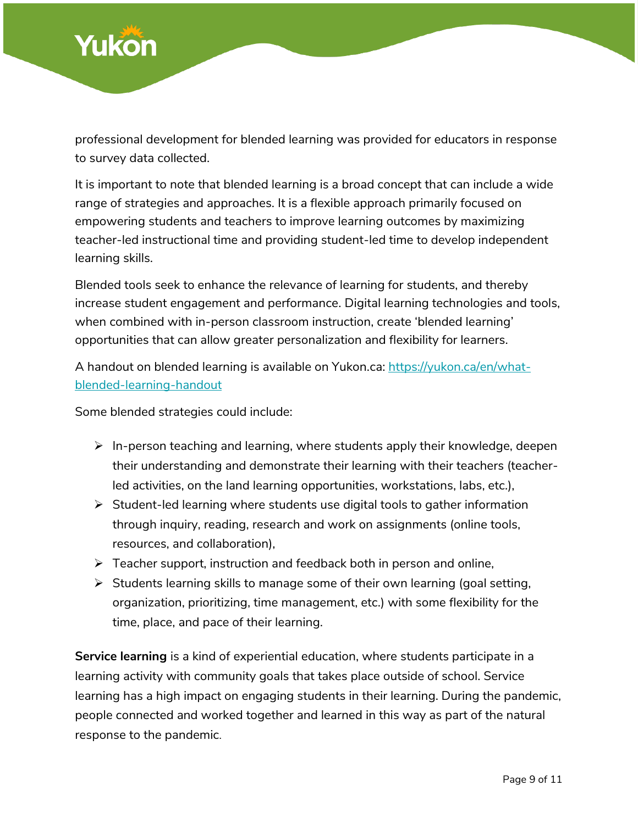

professional development for blended learning was provided for educators in response to survey data collected.

It is important to note that blended learning is a broad concept that can include a wide range of strategies and approaches. It is a flexible approach primarily focused on empowering students and teachers to improve learning outcomes by maximizing teacher-led instructional time and providing student-led time to develop independent learning skills.

Blended tools seek to enhance the relevance of learning for students, and thereby increase student engagement and performance. Digital learning technologies and tools, when combined with in-person classroom instruction, create 'blended learning' opportunities that can allow greater personalization and flexibility for learners.

A handout on blended learning is available on Yukon.ca: [https://yukon.ca/en/what](https://yukon.ca/en/what-blended-learning-handout)[blended-learning-handout](https://yukon.ca/en/what-blended-learning-handout)

Some blended strategies could include:

- $\triangleright$  In-person teaching and learning, where students apply their knowledge, deepen their understanding and demonstrate their learning with their teachers (teacherled activities, on the land learning opportunities, workstations, labs, etc.),
- $\triangleright$  Student-led learning where students use digital tools to gather information through inquiry, reading, research and work on assignments (online tools, resources, and collaboration),
- $\triangleright$  Teacher support, instruction and feedback both in person and online,
- $\triangleright$  Students learning skills to manage some of their own learning (goal setting, organization, prioritizing, time management, etc.) with some flexibility for the time, place, and pace of their learning.

**Service learning** is a kind of experiential education, where students participate in a learning activity with community goals that takes place outside of school. Service learning has a high impact on engaging students in their learning. During the pandemic, people connected and worked together and learned in this way as part of the natural response to the pandemic.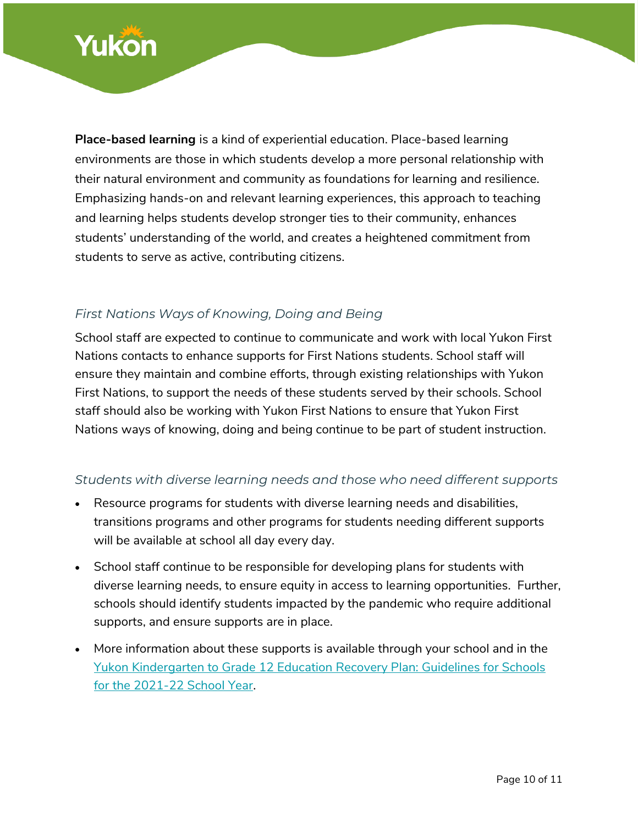

**Place-based learning** is a kind of experiential education. Place-based learning environments are those in which students develop a more personal relationship with their natural environment and community as foundations for learning and resilience. Emphasizing hands-on and relevant learning experiences, this approach to teaching and learning helps students develop stronger ties to their community, enhances students' understanding of the world, and creates a heightened commitment from students to serve as active, contributing citizens.

### *First Nations Ways of Knowing, Doing and Being*

School staff are expected to continue to communicate and work with local Yukon First Nations contacts to enhance supports for First Nations students. School staff will ensure they maintain and combine efforts, through existing relationships with Yukon First Nations, to support the needs of these students served by their schools. School staff should also be working with Yukon First Nations to ensure that Yukon First Nations ways of knowing, doing and being continue to be part of student instruction.

### *Students with diverse learning needs and those who need different supports*

- Resource programs for students with diverse learning needs and disabilities, transitions programs and other programs for students needing different supports will be available at school all day every day.
- School staff continue to be responsible for developing plans for students with diverse learning needs, to ensure equity in access to learning opportunities. Further, schools should identify students impacted by the pandemic who require additional supports, and ensure supports are in place.
- More information about these supports is available through your school and in the [Yukon Kindergarten to Grade 12 Education Recovery Plan: Guidelines for Schools](https://yukon.ca/en/yukon-kindergarten-grade-12-education-recovery-plan)  [for the 2021-22 School Year.](https://yukon.ca/en/yukon-kindergarten-grade-12-education-recovery-plan)